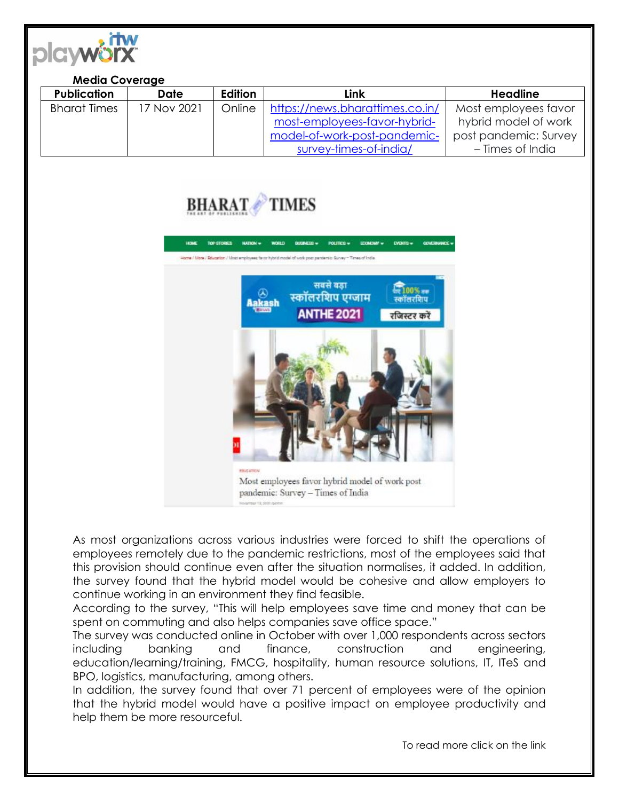

## **Media Coverage**

| <b>Publication</b>  | Date        | Edition | Link                            | <b>Headline</b>       |
|---------------------|-------------|---------|---------------------------------|-----------------------|
| <b>Bharat Times</b> | 17 Nov 2021 | Online  | https://news.bharattimes.co.in/ | Most employees favor  |
|                     |             |         | most-employees-favor-hybrid-    | hybrid model of work  |
|                     |             |         | model-of-work-post-pandemic-    | post pandemic: Survey |
|                     |             |         | survey-times-of-india/          | – Times of India      |





As most organizations across various industries were forced to shift the operations of employees remotely due to the pandemic restrictions, most of the employees said that this provision should continue even after the situation normalises, it added. In addition, the survey found that the hybrid model would be cohesive and allow employers to continue working in an environment they find feasible.

According to the survey, "This will help employees save time and money that can be spent on commuting and also helps companies save office space."

The survey was conducted online in October with over 1,000 respondents across sectors including banking and finance, construction and engineering, education/learning/training, FMCG, hospitality, human resource solutions, IT, ITeS and BPO, logistics, manufacturing, among others.

In addition, the survey found that over 71 percent of employees were of the opinion that the hybrid model would have a positive impact on employee productivity and help them be more resourceful.

To read more click on the link